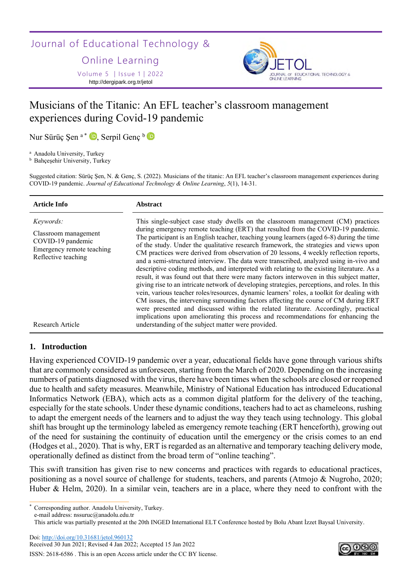Journal of Educational Technology &

Online Learning

Volume 5 │Issue 1│2022 http://dergipark.org.tr/jetol



# Musicians of the Titanic: An EFL teacher's classroom management experiences during Covid-19 pandemic

Nur Sürüç Şen <sup>a \*</sup> D, Serpil Genç <sup>b</sup>

<sup>a</sup> Anadolu University, Turkey

**b** Bahçeşehir University, Turkey

Suggested citation: Sürüç Şen, N. & Genç, S. (2022). Musicians of the titanic: An EFL teacher's classroom management experiences during COVID-19 pandemic. *Journal of Educational Technology & Online Learning*, *5*(1), 14-31.

| <b>Article Info</b>                                                                                                            | <b>Abstract</b>                                                                                                                                                                                                                                                                                                                                                                                                                                                                                                                                                                                                                                                                                                                                                                                                                                                                                                                                                                                                                                                                                                                                                                                                                                                  |
|--------------------------------------------------------------------------------------------------------------------------------|------------------------------------------------------------------------------------------------------------------------------------------------------------------------------------------------------------------------------------------------------------------------------------------------------------------------------------------------------------------------------------------------------------------------------------------------------------------------------------------------------------------------------------------------------------------------------------------------------------------------------------------------------------------------------------------------------------------------------------------------------------------------------------------------------------------------------------------------------------------------------------------------------------------------------------------------------------------------------------------------------------------------------------------------------------------------------------------------------------------------------------------------------------------------------------------------------------------------------------------------------------------|
| Keywords:<br>Classroom management<br>COVID-19 pandemic<br>Emergency remote teaching<br>Reflective teaching<br>Research Article | This single-subject case study dwells on the classroom management (CM) practices<br>during emergency remote teaching (ERT) that resulted from the COVID-19 pandemic.<br>The participant is an English teacher, teaching young learners (aged 6-8) during the time<br>of the study. Under the qualitative research framework, the strategies and views upon<br>CM practices were derived from observation of 20 lessons, 4 weekly reflection reports,<br>and a semi-structured interview. The data were transcribed, analyzed using in-vivo and<br>descriptive coding methods, and interpreted with relating to the existing literature. As a<br>result, it was found out that there were many factors interwoven in this subject matter,<br>giving rise to an intricate network of developing strategies, perceptions, and roles. In this<br>vein, various teacher roles/resources, dynamic learners' roles, a toolkit for dealing with<br>CM issues, the intervening surrounding factors affecting the course of CM during ERT<br>were presented and discussed within the related literature. Accordingly, practical<br>implications upon ameliorating this process and recommendations for enhancing the<br>understanding of the subject matter were provided. |
|                                                                                                                                |                                                                                                                                                                                                                                                                                                                                                                                                                                                                                                                                                                                                                                                                                                                                                                                                                                                                                                                                                                                                                                                                                                                                                                                                                                                                  |

# **1. Introduction**

Having experienced COVID-19 pandemic over a year, educational fields have gone through various shifts that are commonly considered as unforeseen, starting from the March of 2020. Depending on the increasing numbers of patients diagnosed with the virus, there have been times when the schools are closed or reopened due to health and safety measures. Meanwhile, Ministry of National Education has introduced Educational Informatics Network (EBA), which acts as a common digital platform for the delivery of the teaching, especially for the state schools. Under these dynamic conditions, teachers had to act as chameleons, rushing to adapt the emergent needs of the learners and to adjust the way they teach using technology. This global shift has brought up the terminology labeled as emergency remote teaching (ERT henceforth), growing out of the need for sustaining the continuity of education until the emergency or the crisis comes to an end (Hodges et al., 2020). That is why, ERT is regarded as an alternative and temporary teaching delivery mode, operationally defined as distinct from the broad term of "online teaching".

This swift transition has given rise to new concerns and practices with regards to educational practices, positioning as a novel source of challenge for students, teachers, and parents (Atmojo & Nugroho, 2020; Huber & Helm, 2020). In a similar vein, teachers are in a place, where they need to confront with the

Corresponding author. Anadolu University, Turkey.

e-mail address: nssuruc@anadolu.edu.tr

Doi:<http://doi.org/10.31681/jetol.960132>

Received 30 Jun 2021; Revised 4 Jan 2022; Accepted 15 Jan 2022 ISSN: 2618-6586 . This is an open Access article under the CC BY license.



This article was partially presented at the 20th INGED International ELT Conference hosted by Bolu Abant İzzet Baysal University.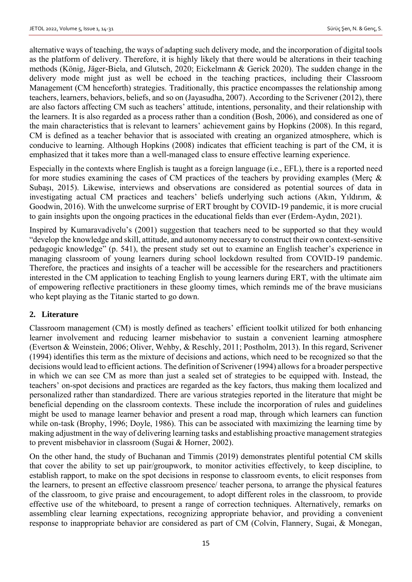alternative ways of teaching, the ways of adapting such delivery mode, and the incorporation of digital tools as the platform of delivery. Therefore, it is highly likely that there would be alterations in their teaching methods (König, Jäger-Biela, and Glutsch, 2020; Eickelmann & Gerick 2020). The sudden change in the delivery mode might just as well be echoed in the teaching practices, including their Classroom Management (CM henceforth) strategies. Traditionally, this practice encompasses the relationship among teachers, learners, behaviors, beliefs, and so on (Jayasudha, 2007). According to the Scrivener (2012), there are also factors affecting CM such as teachers' attitude, intentions, personality, and their relationship with the learners. It is also regarded as a process rather than a condition (Bosh, 2006), and considered as one of the main characteristics that is relevant to learners' achievement gains by Hopkins (2008). In this regard, CM is defined as a teacher behavior that is associated with creating an organized atmosphere, which is conducive to learning. Although Hopkins (2008) indicates that efficient teaching is part of the CM, it is emphasized that it takes more than a well-managed class to ensure effective learning experience.

Especially in the contexts where English is taught as a foreign language (i.e., EFL), there is a reported need for more studies examining the cases of CM practices of the teachers by providing examples (Merç & Subaşı, 2015). Likewise, interviews and observations are considered as potential sources of data in investigating actual CM practices and teachers' beliefs underlying such actions (Akın, Yıldırım, & Goodwin, 2016). With the unwelcome surprise of ERT brought by COVID-19 pandemic, it is more crucial to gain insights upon the ongoing practices in the educational fields than ever (Erdem-Aydın, 2021).

Inspired by Kumaravadivelu's (2001) suggestion that teachers need to be supported so that they would "develop the knowledge and skill, attitude, and autonomy necessary to construct their own context-sensitive pedagogic knowledge" (p. 541), the present study set out to examine an English teacher's experience in managing classroom of young learners during school lockdown resulted from COVID-19 pandemic. Therefore, the practices and insights of a teacher will be accessible for the researchers and practitioners interested in the CM application to teaching English to young learners during ERT, with the ultimate aim of empowering reflective practitioners in these gloomy times, which reminds me of the brave musicians who kept playing as the Titanic started to go down.

## **2. Literature**

Classroom management (CM) is mostly defined as teachers' efficient toolkit utilized for both enhancing learner involvement and reducing learner misbehavior to sustain a convenient learning atmosphere (Evertson & Weinstein, 2006; Oliver, Wehby, & Reschly, 2011; Postholm, 2013). In this regard, Scrivener (1994) identifies this term as the mixture of decisions and actions, which need to be recognized so that the decisions would lead to efficient actions. The definition of Scrivener (1994) allows for a broader perspective in which we can see CM as more than just a sealed set of strategies to be equipped with. Instead, the teachers' on-spot decisions and practices are regarded as the key factors, thus making them localized and personalized rather than standardized. There are various strategies reported in the literature that might be beneficial depending on the classroom contexts. These include the incorporation of rules and guidelines might be used to manage learner behavior and present a road map, through which learners can function while on-task (Brophy, 1996; Doyle, 1986). This can be associated with maximizing the learning time by making adjustment in the way of delivering learning tasks and establishing proactive management strategies to prevent misbehavior in classroom (Sugai & Horner, 2002).

On the other hand, the study of Buchanan and Timmis (2019) demonstrates plentiful potential CM skills that cover the ability to set up pair/groupwork, to monitor activities effectively, to keep discipline, to establish rapport, to make on the spot decisions in response to classroom events, to elicit responses from the learners, to present an effective classroom presence/ teacher persona, to arrange the physical features of the classroom, to give praise and encouragement, to adopt different roles in the classroom, to provide effective use of the whiteboard, to present a range of correction techniques. Alternatively, remarks on assembling clear learning expectations, recognizing appropriate behavior, and providing a convenient response to inappropriate behavior are considered as part of CM (Colvin, Flannery, Sugai, & Monegan,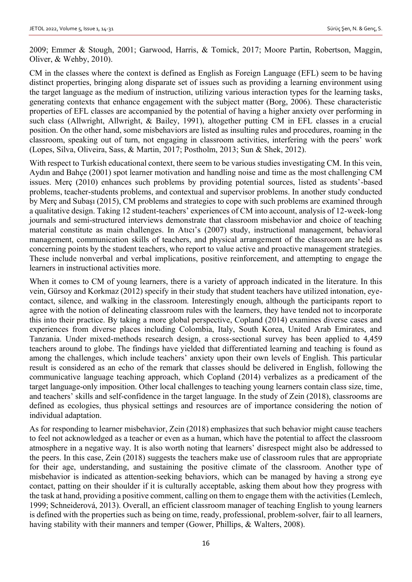2009; Emmer & Stough, 2001; Garwood, Harris, & Tomick, 2017; Moore Partin, Robertson, Maggin, Oliver, & Wehby, 2010).

CM in the classes where the context is defined as English as Foreign Language (EFL) seem to be having distinct properties, bringing along disparate set of issues such as providing a learning environment using the target language as the medium of instruction, utilizing various interaction types for the learning tasks, generating contexts that enhance engagement with the subject matter (Borg, 2006). These characteristic properties of EFL classes are accompanied by the potential of having a higher anxiety over performing in such class (Allwright, Allwright, & Bailey, 1991), altogether putting CM in EFL classes in a crucial position. On the other hand, some misbehaviors are listed as insulting rules and procedures, roaming in the classroom, speaking out of turn, not engaging in classroom activities, interfering with the peers' work (Lopes, Silva, Oliveira, Sass, & Martin, 2017; Postholm, 2013; Sun & Shek, 2012).

With respect to Turkish educational context, there seem to be various studies investigating CM. In this vein, Aydın and Bahçe (2001) spot learner motivation and handling noise and time as the most challenging CM issues. Merç (2010) enhances such problems by providing potential sources, listed as students'-based problems, teacher-students problems, and contextual and supervisor problems. In another study conducted by Merç and Subaşı (2015), CM problems and strategies to cope with such problems are examined through a qualitative design. Taking 12 student-teachers' experiences of CM into account, analysis of 12-week-long journals and semi-structured interviews demonstrate that classroom misbehavior and choice of teaching material constitute as main challenges. In Atıcı's (2007) study, instructional management, behavioral management, communication skills of teachers, and physical arrangement of the classroom are held as concerning points by the student teachers, who report to value active and proactive management strategies. These include nonverbal and verbal implications, positive reinforcement, and attempting to engage the learners in instructional activities more.

When it comes to CM of young learners, there is a variety of approach indicated in the literature. In this vein, Gürsoy and Korkmaz (2012) specify in their study that student teachers have utilized intonation, eyecontact, silence, and walking in the classroom. Interestingly enough, although the participants report to agree with the notion of delineating classroom rules with the learners, they have tended not to incorporate this into their practice. By taking a more global perspective, Copland (2014) examines diverse cases and experiences from diverse places including Colombia, Italy, South Korea, United Arab Emirates, and Tanzania. Under mixed-methods research design, a cross-sectional survey has been applied to 4,459 teachers around to globe. The findings have yielded that differentiated learning and teaching is found as among the challenges, which include teachers' anxiety upon their own levels of English. This particular result is considered as an echo of the remark that classes should be delivered in English, following the communicative language teaching approach, which Copland (2014) verbalizes as a predicament of the target language-only imposition. Other local challenges to teaching young learners contain class size, time, and teachers' skills and self-confidence in the target language. In the study of Zein (2018), classrooms are defined as ecologies, thus physical settings and resources are of importance considering the notion of individual adaptation.

As for responding to learner misbehavior, Zein (2018) emphasizes that such behavior might cause teachers to feel not acknowledged as a teacher or even as a human, which have the potential to affect the classroom atmosphere in a negative way. It is also worth noting that learners' disrespect might also be addressed to the peers. In this case, Zein (2018) suggests the teachers make use of classroom rules that are appropriate for their age, understanding, and sustaining the positive climate of the classroom. Another type of misbehavior is indicated as attention-seeking behaviors, which can be managed by having a strong eye contact, patting on their shoulder if it is culturally acceptable, asking them about how they progress with the task at hand, providing a positive comment, calling on them to engage them with the activities (Lemlech, 1999; Schneiderová, 2013). Overall, an efficient classroom manager of teaching English to young learners is defined with the properties such as being on time, ready, professional, problem-solver, fair to all learners, having stability with their manners and temper (Gower, Phillips, & Walters, 2008).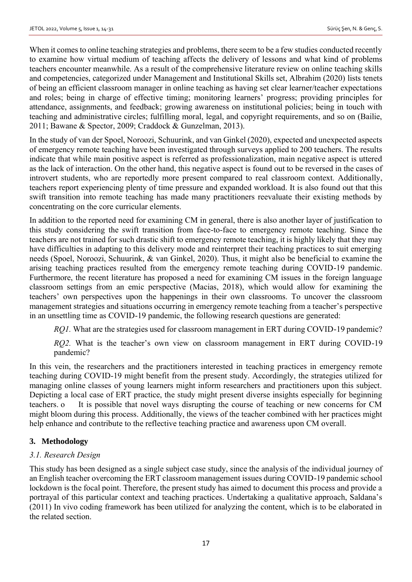When it comes to online teaching strategies and problems, there seem to be a few studies conducted recently to examine how virtual medium of teaching affects the delivery of lessons and what kind of problems teachers encounter meanwhile. As a result of the comprehensive literature review on online teaching skills and competencies, categorized under Management and Institutional Skills set, Albrahim (2020) lists tenets of being an efficient classroom manager in online teaching as having set clear learner/teacher expectations and roles; being in charge of effective timing; monitoring learners' progress; providing principles for attendance, assignments, and feedback; growing awareness on institutional policies; being in touch with teaching and administrative circles; fulfilling moral, legal, and copyright requirements, and so on (Bailie, 2011; Bawane & Spector, 2009; Craddock & Gunzelman, 2013).

In the study of van der Spoel, Noroozi, Schuurink, and van Ginkel (2020), expected and unexpected aspects of emergency remote teaching have been investigated through surveys applied to 200 teachers. The results indicate that while main positive aspect is referred as professionalization, main negative aspect is uttered as the lack of interaction. On the other hand, this negative aspect is found out to be reversed in the cases of introvert students, who are reportedly more present compared to real classroom context. Additionally, teachers report experiencing plenty of time pressure and expanded workload. It is also found out that this swift transition into remote teaching has made many practitioners reevaluate their existing methods by concentrating on the core curricular elements.

In addition to the reported need for examining CM in general, there is also another layer of justification to this study considering the swift transition from face-to-face to emergency remote teaching. Since the teachers are not trained for such drastic shift to emergency remote teaching, it is highly likely that they may have difficulties in adapting to this delivery mode and reinterpret their teaching practices to suit emerging needs (Spoel, Noroozi, Schuurink, & van Ginkel, 2020). Thus, it might also be beneficial to examine the arising teaching practices resulted from the emergency remote teaching during COVID-19 pandemic. Furthermore, the recent literature has proposed a need for examining CM issues in the foreign language classroom settings from an emic perspective (Macias, 2018), which would allow for examining the teachers' own perspectives upon the happenings in their own classrooms. To uncover the classroom management strategies and situations occurring in emergency remote teaching from a teacher's perspective in an unsettling time as COVID-19 pandemic, the following research questions are generated:

*RQ1*. What are the strategies used for classroom management in ERT during COVID-19 pandemic?

*RQ2.* What is the teacher's own view on classroom management in ERT during COVID-19 pandemic?

In this vein, the researchers and the practitioners interested in teaching practices in emergency remote teaching during COVID-19 might benefit from the present study. Accordingly, the strategies utilized for managing online classes of young learners might inform researchers and practitioners upon this subject. Depicting a local case of ERT practice, the study might present diverse insights especially for beginning teachers. o It is possible that novel ways disrupting the course of teaching or new concerns for CM might bloom during this process. Additionally, the views of the teacher combined with her practices might help enhance and contribute to the reflective teaching practice and awareness upon CM overall.

# **3. Methodology**

## *3.1. Research Design*

This study has been designed as a single subject case study, since the analysis of the individual journey of an English teacher overcoming the ERT classroom management issues during COVID-19 pandemic school lockdown is the focal point. Therefore, the present study has aimed to document this process and provide a portrayal of this particular context and teaching practices. Undertaking a qualitative approach, Saldana's (2011) In vivo coding framework has been utilized for analyzing the content, which is to be elaborated in the related section.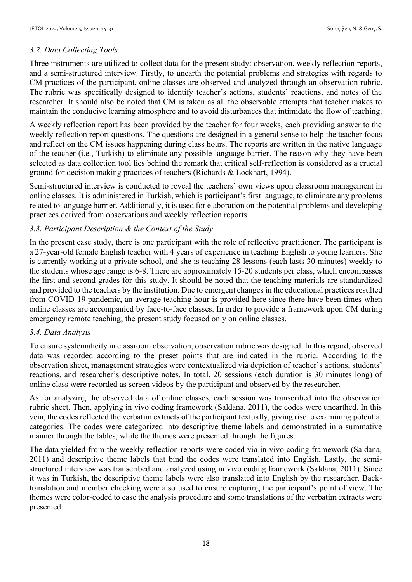## *3.2. Data Collecting Tools*

Three instruments are utilized to collect data for the present study: observation, weekly reflection reports, and a semi-structured interview. Firstly, to unearth the potential problems and strategies with regards to CM practices of the participant, online classes are observed and analyzed through an observation rubric. The rubric was specifically designed to identify teacher's actions, students' reactions, and notes of the researcher. It should also be noted that CM is taken as all the observable attempts that teacher makes to maintain the conducive learning atmosphere and to avoid disturbances that intimidate the flow of teaching.

A weekly reflection report has been provided by the teacher for four weeks, each providing answer to the weekly reflection report questions. The questions are designed in a general sense to help the teacher focus and reflect on the CM issues happening during class hours. The reports are written in the native language of the teacher (i.e., Turkish) to eliminate any possible language barrier. The reason why they have been selected as data collection tool lies behind the remark that critical self-reflection is considered as a crucial ground for decision making practices of teachers (Richards & Lockhart, 1994).

Semi-structured interview is conducted to reveal the teachers' own views upon classroom management in online classes. It is administered in Turkish, which is participant's first language, to eliminate any problems related to language barrier. Additionally, it is used for elaboration on the potential problems and developing practices derived from observations and weekly reflection reports.

## *3.3. Participant Description & the Context of the Study*

In the present case study, there is one participant with the role of reflective practitioner. The participant is a 27-year-old female English teacher with 4 years of experience in teaching English to young learners. She is currently working at a private school, and she is teaching 28 lessons (each lasts 30 minutes) weekly to the students whose age range is 6-8. There are approximately 15-20 students per class, which encompasses the first and second grades for this study. It should be noted that the teaching materials are standardized and provided to the teachers by the institution. Due to emergent changes in the educational practices resulted from COVID-19 pandemic, an average teaching hour is provided here since there have been times when online classes are accompanied by face-to-face classes. In order to provide a framework upon CM during emergency remote teaching, the present study focused only on online classes.

## *3.4. Data Analysis*

To ensure systematicity in classroom observation, observation rubric was designed. In this regard, observed data was recorded according to the preset points that are indicated in the rubric. According to the observation sheet, management strategies were contextualized via depiction of teacher's actions, students' reactions, and researcher's descriptive notes. In total, 20 sessions (each duration is 30 minutes long) of online class were recorded as screen videos by the participant and observed by the researcher.

As for analyzing the observed data of online classes, each session was transcribed into the observation rubric sheet. Then, applying in vivo coding framework (Saldana, 2011), the codes were unearthed. In this vein, the codes reflected the verbatim extracts of the participant textually, giving rise to examining potential categories. The codes were categorized into descriptive theme labels and demonstrated in a summative manner through the tables, while the themes were presented through the figures.

The data yielded from the weekly reflection reports were coded via in vivo coding framework (Saldana, 2011) and descriptive theme labels that bind the codes were translated into English. Lastly, the semistructured interview was transcribed and analyzed using in vivo coding framework (Saldana, 2011). Since it was in Turkish, the descriptive theme labels were also translated into English by the researcher. Backtranslation and member checking were also used to ensure capturing the participant's point of view. The themes were color-coded to ease the analysis procedure and some translations of the verbatim extracts were presented.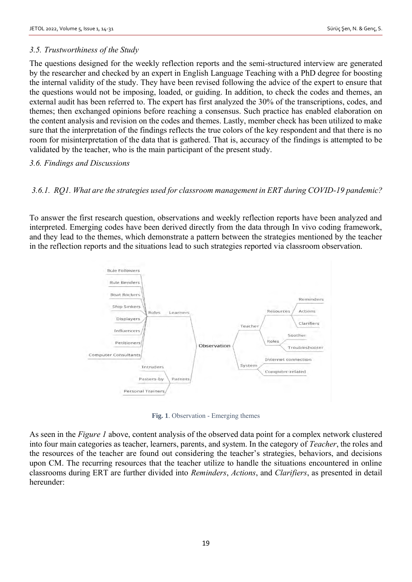## *3.5. Trustworthiness of the Study*

The questions designed for the weekly reflection reports and the semi-structured interview are generated by the researcher and checked by an expert in English Language Teaching with a PhD degree for boosting the internal validity of the study. They have been revised following the advice of the expert to ensure that the questions would not be imposing, loaded, or guiding. In addition, to check the codes and themes, an external audit has been referred to. The expert has first analyzed the 30% of the transcriptions, codes, and themes; then exchanged opinions before reaching a consensus. Such practice has enabled elaboration on the content analysis and revision on the codes and themes. Lastly, member check has been utilized to make sure that the interpretation of the findings reflects the true colors of the key respondent and that there is no room for misinterpretation of the data that is gathered. That is, accuracy of the findings is attempted to be validated by the teacher, who is the main participant of the present study.

#### *3.6. Findings and Discussions*

## *3.6.1. RQ1. What are the strategies used for classroom management in ERT during COVID-19 pandemic?*

To answer the first research question, observations and weekly reflection reports have been analyzed and interpreted. Emerging codes have been derived directly from the data through In vivo coding framework, and they lead to the themes, which demonstrate a pattern between the strategies mentioned by the teacher in the reflection reports and the situations lead to such strategies reported via classroom observation.



**Fig. 1**. Observation - Emerging themes

As seen in the *Figure 1* above, content analysis of the observed data point for a complex network clustered into four main categories as teacher, learners, parents, and system. In the category of *Teacher*, the roles and the resources of the teacher are found out considering the teacher's strategies, behaviors, and decisions upon CM. The recurring resources that the teacher utilize to handle the situations encountered in online classrooms during ERT are further divided into *Reminders*, *Actions*, and *Clarifiers*, as presented in detail hereunder: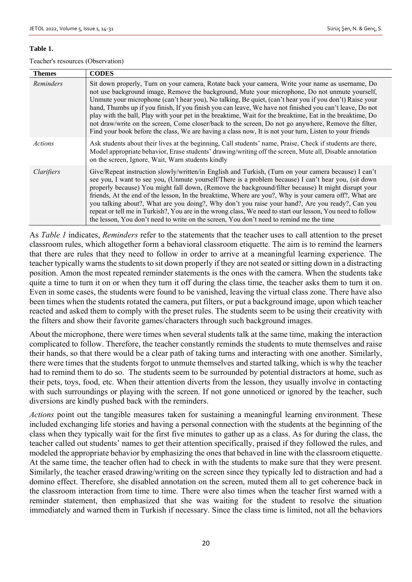#### **Table 1.**

Teacher's resources (Observation)

| <b>Themes</b> | <b>CODES</b>                                                                                                                                                                                                                                                                                                                                                                                                                                                                                                                                                                                                                                                                                                                                              |
|---------------|-----------------------------------------------------------------------------------------------------------------------------------------------------------------------------------------------------------------------------------------------------------------------------------------------------------------------------------------------------------------------------------------------------------------------------------------------------------------------------------------------------------------------------------------------------------------------------------------------------------------------------------------------------------------------------------------------------------------------------------------------------------|
| Reminders     | Sit down properly, Turn on your camera, Rotate back your camera, Write your name as username, Do<br>not use background image, Remove the background, Mute your microphone, Do not unmute yourself,<br>Unmute your microphone (can't hear you), No talking, Be quiet, (can't hear you if you don't) Raise your<br>hand, Thumbs up if you finish, If you finish you can leave, We have not finished you can't leave, Do not<br>play with the ball, Play with your pet in the breaktime, Wait for the breaktime, Eat in the breaktime, Do<br>not draw/write on the screen, Come closer/back to the screen, Do not go anywhere, Remove the filter,<br>Find your book before the class, We are having a class now, It is not your turn, Listen to your friends |
| Actions       | Ask students about their lives at the beginning, Call students' name, Praise, Check if students are there,<br>Model appropriate behavior, Erase students' drawing/writing off the screen, Mute all, Disable annotation<br>on the screen, Ignore, Wait, Warn students kindly                                                                                                                                                                                                                                                                                                                                                                                                                                                                               |
| Clarifiers    | Give/Repeat instruction slowly/written/in English and Turkish, (Turn on your camera because) I can't<br>see you, I want to see you, (Unmute yourself/There is a problem because) I can't hear you, (sit down<br>properly because) You might fall down, (Remove the background/filter because) It might disrupt your<br>friends, At the end of the lesson, In the breaktime, Where are you?, Why is your camera off?, What are<br>you talking about?, What are you doing?, Why don't you raise your hand?, Are you ready?, Can you<br>repeat or tell me in Turkish?, You are in the wrong class, We need to start our lesson, You need to follow<br>the lesson, You don't need to write on the screen, You don't need to remind me the time                |

As *Table 1* indicates, *Reminders* refer to the statements that the teacher uses to call attention to the preset classroom rules, which altogether form a behavioral classroom etiquette. The aim is to remind the learners that there are rules that they need to follow in order to arrive at a meaningful learning experience. The teacher typically warns the students to sit down properly if they are not seated or sitting down in a distracting position. Amon the most repeated reminder statements is the ones with the camera. When the students take quite a time to turn it on or when they turn it off during the class time, the teacher asks them to turn it on. Even in some cases, the students were found to be vanished, leaving the virtual class zone. There have also been times when the students rotated the camera, put filters, or put a background image, upon which teacher reacted and asked them to comply with the preset rules. The students seem to be using their creativity with the filters and show their favorite games/characters through such background images.

About the microphone, there were times when several students talk at the same time, making the interaction complicated to follow. Therefore, the teacher constantly reminds the students to mute themselves and raise their hands, so that there would be a clear path of taking turns and interacting with one another. Similarly, there were times that the students forgot to unmute themselves and started talking, which is why the teacher had to remind them to do so. The students seem to be surrounded by potential distractors at home, such as their pets, toys, food, etc. When their attention diverts from the lesson, they usually involve in contacting with such surroundings or playing with the screen. If not gone unnoticed or ignored by the teacher, such diversions are kindly pushed back with the reminders.

*Actions* point out the tangible measures taken for sustaining a meaningful learning environment. These included exchanging life stories and having a personal connection with the students at the beginning of the class when they typically wait for the first five minutes to gather up as a class. As for during the class, the teacher called out students' names to get their attention specifically, praised if they followed the rules, and modeled the appropriate behavior by emphasizing the ones that behaved in line with the classroom etiquette. At the same time, the teacher often had to check in with the students to make sure that they were present. Similarly, the teacher erased drawing/writing on the screen since they typically led to distraction and had a domino effect. Therefore, she disabled annotation on the screen, muted them all to get coherence back in the classroom interaction from time to time. There were also times when the teacher first warned with a reminder statement, then emphasized that she was waiting for the student to resolve the situation immediately and warned them in Turkish if necessary. Since the class time is limited, not all the behaviors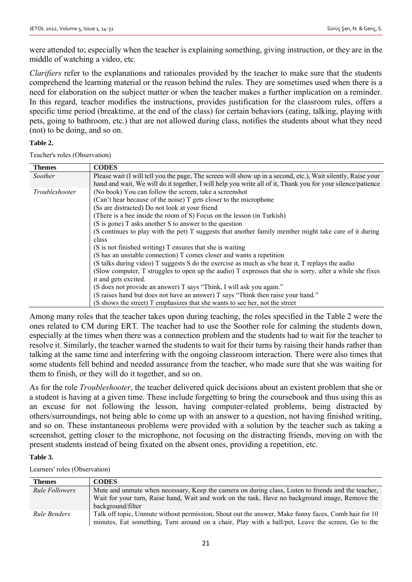were attended to; especially when the teacher is explaining something, giving instruction, or they are in the middle of watching a video, etc.

*Clarifiers* refer to the explanations and rationales provided by the teacher to make sure that the students comprehend the learning material or the reason behind the rules. They are sometimes used when there is a need for elaboration on the subject matter or when the teacher makes a further implication on a reminder. In this regard, teacher modifies the instructions, provides justification for the classroom rules, offers a specific time period (breaktime, at the end of the class) for certain behaviors (eating, talking, playing with pets, going to bathroom, etc.) that are not allowed during class, notifies the students about what they need (not) to be doing, and so on.

#### **Table 2.**

Teacher's roles (Observation)

| <b>Themes</b>  | <b>CODES</b>                                                                                                                                                                                                                |
|----------------|-----------------------------------------------------------------------------------------------------------------------------------------------------------------------------------------------------------------------------|
| Soother        | Please wait (I will tell you the page, The screen will show up in a second, etc.), Wait silently, Raise your<br>hand and wait, We will do it together, I will help you write all of it, Thank you for your silence/patience |
| Troubleshooter | (No book) You can follow the screen, take a screenshot                                                                                                                                                                      |
|                | (Can't hear because of the noise) T gets closer to the microphone                                                                                                                                                           |
|                | (Ss are distracted) Do not look at your friend                                                                                                                                                                              |
|                | (There is a bee inside the room of S) Focus on the lesson (in Turkish)                                                                                                                                                      |
|                | (S is gone) T asks another S to answer to the question                                                                                                                                                                      |
|                | (S continues to play with the pet) T suggests that another family member might take care of it during                                                                                                                       |
|                | class                                                                                                                                                                                                                       |
|                | (S is not finished writing) T ensures that she is waiting                                                                                                                                                                   |
|                | (S has an unstable connection) T comes closer and wants a repetition                                                                                                                                                        |
|                | (S talks during video) T suggests S do the exercise as much as s/he hear it, T replays the audio                                                                                                                            |
|                | (Slow computer, T struggles to open up the audio) T expresses that she is sorry, after a while she fixes                                                                                                                    |
|                | it and gets excited.                                                                                                                                                                                                        |
|                | (S does not provide an answer) T says "Think, I will ask you again."                                                                                                                                                        |
|                | (S raises hand but does not have an answer) T says "Think then raise your hand."                                                                                                                                            |
|                | (S shows the street) T emphasizes that she wants to see her, not the street                                                                                                                                                 |

Among many roles that the teacher takes upon during teaching, the roles specified in the Table 2 were the ones related to CM during ERT. The teacher had to use the Soother role for calming the students down, especially at the times when there was a connection problem and the students had to wait for the teacher to resolve it. Similarly, the teacher warned the students to wait for their turns by raising their hands rather than talking at the same time and interfering with the ongoing classroom interaction. There were also times that some students fell behind and needed assurance from the teacher, who made sure that she was waiting for them to finish, or they will do it together, and so on.

As for the role *Troubleshooter*, the teacher delivered quick decisions about an existent problem that she or a student is having at a given time. These include forgetting to bring the coursebook and thus using this as an excuse for not following the lesson, having computer-related problems, being distracted by others/surroundings, not being able to come up with an answer to a question, not having finished writing, and so on. These instantaneous problems were provided with a solution by the teacher such as taking a screenshot, getting closer to the microphone, not focusing on the distracting friends, moving on with the present students instead of being fixated on the absent ones, providing a repetition, etc.

#### **Table 3.**

Learners' roles (Observation)

| <b>Themes</b>         | <b>CODES</b>                                                                                                                                                                                             |
|-----------------------|----------------------------------------------------------------------------------------------------------------------------------------------------------------------------------------------------------|
| <b>Rule Followers</b> | Mute and unmute when necessary, Keep the camera on during class, Listen to friends and the teacher,                                                                                                      |
|                       | Wait for your turn, Raise hand, Wait and work on the task, Have no background image, Remove the<br>background/filter                                                                                     |
| Rule Benders          | Talk off topic, Unmute without permission, Shout out the answer, Make funny faces, Comb hair for 10<br>minutes, Eat something, Turn around on a chair, Play with a ball/pet, Leave the screen, Go to the |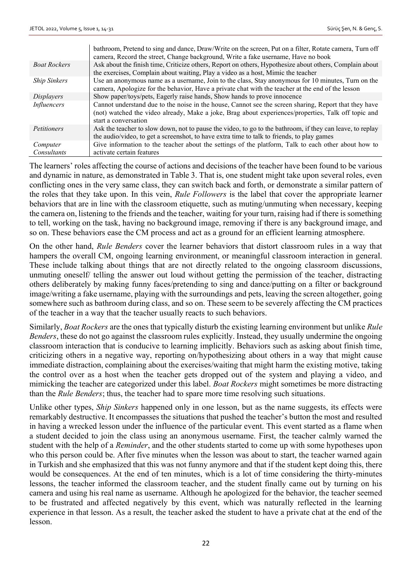|                     | bathroom, Pretend to sing and dance, Draw/Write on the screen, Put on a filter, Rotate camera, Turn off<br>camera, Record the street, Change background, Write a fake username, Have no book                                         |
|---------------------|--------------------------------------------------------------------------------------------------------------------------------------------------------------------------------------------------------------------------------------|
| <b>Boat Rockers</b> | Ask about the finish time, Criticize others, Report on others, Hypothesize about others, Complain about<br>the exercises, Complain about waiting, Play a video as a host, Mimic the teacher                                          |
| <b>Ship Sinkers</b> | Use an anonymous name as a username, Join to the class, Stay anonymous for 10 minutes, Turn on the<br>camera, Apologize for the behavior, Have a private chat with the teacher at the end of the lesson                              |
| <i>Displayers</i>   | Show paper/toys/pets, Eagerly raise hands, Show hands to prove innocence                                                                                                                                                             |
| Influencers         | Cannot understand due to the noise in the house, Cannot see the screen sharing, Report that they have<br>(not) watched the video already, Make a joke, Brag about experiences/properties, Talk off topic and<br>start a conversation |
| <i>Petitioners</i>  | Ask the teacher to slow down, not to pause the video, to go to the bathroom, if they can leave, to replay<br>the audio/video, to get a screenshot, to have extra time to talk to friends, to play games                              |
| Computer            | Give information to the teacher about the settings of the platform, Talk to each other about how to                                                                                                                                  |
| Consultants         | activate certain features                                                                                                                                                                                                            |

The learners' roles affecting the course of actions and decisions of the teacher have been found to be various and dynamic in nature, as demonstrated in Table 3. That is, one student might take upon several roles, even conflicting ones in the very same class, they can switch back and forth, or demonstrate a similar pattern of the roles that they take upon. In this vein, *Rule Followers* is the label that cover the appropriate learner behaviors that are in line with the classroom etiquette, such as muting/unmuting when necessary, keeping the camera on, listening to the friends and the teacher, waiting for your turn, raising had if there is something to tell, working on the task, having no background image, removing if there is any background image, and so on. These behaviors ease the CM process and act as a ground for an efficient learning atmosphere.

On the other hand, *Rule Benders* cover the learner behaviors that distort classroom rules in a way that hampers the overall CM, ongoing learning environment, or meaningful classroom interaction in general. These include talking about things that are not directly related to the ongoing classroom discussions, unmuting oneself/ telling the answer out loud without getting the permission of the teacher, distracting others deliberately by making funny faces/pretending to sing and dance/putting on a filter or background image/writing a fake username, playing with the surroundings and pets, leaving the screen altogether, going somewhere such as bathroom during class, and so on. These seem to be severely affecting the CM practices of the teacher in a way that the teacher usually reacts to such behaviors.

Similarly, *Boat Rockers* are the ones that typically disturb the existing learning environment but unlike *Rule Benders*, these do not go against the classroom rules explicitly. Instead, they usually undermine the ongoing classroom interaction that is conducive to learning implicitly. Behaviors such as asking about finish time, criticizing others in a negative way, reporting on/hypothesizing about others in a way that might cause immediate distraction, complaining about the exercises/waiting that might harm the existing motive, taking the control over as a host when the teacher gets dropped out of the system and playing a video, and mimicking the teacher are categorized under this label. *Boat Rockers* might sometimes be more distracting than the *Rule Benders*; thus, the teacher had to spare more time resolving such situations.

Unlike other types, *Ship Sinkers* happened only in one lesson, but as the name suggests, its effects were remarkably destructive. It encompasses the situations that pushed the teacher's button the most and resulted in having a wrecked lesson under the influence of the particular event. This event started as a flame when a student decided to join the class using an anonymous username. First, the teacher calmly warned the student with the help of a *Reminder*, and the other students started to come up with some hypotheses upon who this person could be. After five minutes when the lesson was about to start, the teacher warned again in Turkish and she emphasized that this was not funny anymore and that if the student kept doing this, there would be consequences. At the end of ten minutes, which is a lot of time considering the thirty-minutes lessons, the teacher informed the classroom teacher, and the student finally came out by turning on his camera and using his real name as username. Although he apologized for the behavior, the teacher seemed to be frustrated and affected negatively by this event, which was naturally reflected in the learning experience in that lesson. As a result, the teacher asked the student to have a private chat at the end of the lesson.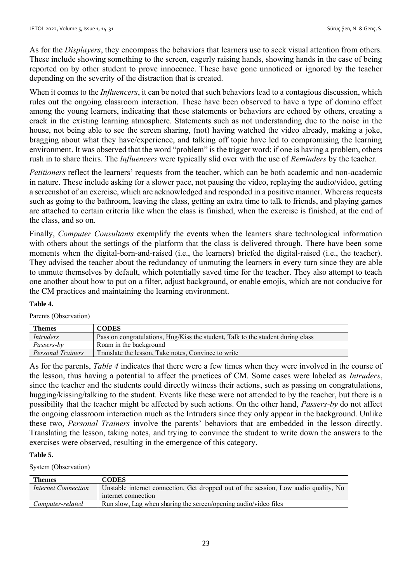As for the *Displayers*, they encompass the behaviors that learners use to seek visual attention from others. These include showing something to the screen, eagerly raising hands, showing hands in the case of being reported on by other student to prove innocence. These have gone unnoticed or ignored by the teacher depending on the severity of the distraction that is created.

When it comes to the *Influencers*, it can be noted that such behaviors lead to a contagious discussion, which rules out the ongoing classroom interaction. These have been observed to have a type of domino effect among the young learners, indicating that these statements or behaviors are echoed by others, creating a crack in the existing learning atmosphere. Statements such as not understanding due to the noise in the house, not being able to see the screen sharing, (not) having watched the video already, making a joke, bragging about what they have/experience, and talking off topic have led to compromising the learning environment. It was observed that the word "problem" is the trigger word; if one is having a problem, others rush in to share theirs. The *Influencers* were typically slid over with the use of *Reminders* by the teacher.

*Petitioners* reflect the learners' requests from the teacher, which can be both academic and non-academic in nature. These include asking for a slower pace, not pausing the video, replaying the audio/video, getting a screenshot of an exercise, which are acknowledged and responded in a positive manner. Whereas requests such as going to the bathroom, leaving the class, getting an extra time to talk to friends, and playing games are attached to certain criteria like when the class is finished, when the exercise is finished, at the end of the class, and so on.

Finally, *Computer Consultants* exemplify the events when the learners share technological information with others about the settings of the platform that the class is delivered through. There have been some moments when the digital-born-and-raised (i.e., the learners) briefed the digital-raised (i.e., the teacher). They advised the teacher about the redundancy of unmuting the learners in every turn since they are able to unmute themselves by default, which potentially saved time for the teacher. They also attempt to teach one another about how to put on a filter, adjust background, or enable emojis, which are not conducive for the CM practices and maintaining the learning environment.

#### **Table 4.**

Parents (Observation)

| <b>Themes</b>            | <b>CODES</b>                                                                    |
|--------------------------|---------------------------------------------------------------------------------|
| <i>Intruders</i>         | Pass on congratulations, Hug/Kiss the student, Talk to the student during class |
| Passers-by               | Roam in the background                                                          |
| <b>Personal Trainers</b> | Translate the lesson, Take notes, Convince to write                             |

As for the parents, *Table 4* indicates that there were a few times when they were involved in the course of the lesson, thus having a potential to affect the practices of CM. Some cases were labeled as *Intruders*, since the teacher and the students could directly witness their actions, such as passing on congratulations, hugging/kissing/talking to the student. Events like these were not attended to by the teacher, but there is a possibility that the teacher might be affected by such actions. On the other hand, *Passers-by* do not affect the ongoing classroom interaction much as the Intruders since they only appear in the background. Unlike these two, *Personal Trainers* involve the parents' behaviors that are embedded in the lesson directly. Translating the lesson, taking notes, and trying to convince the student to write down the answers to the exercises were observed, resulting in the emergence of this category.

#### **Table 5.**

System (Observation)

| <b>Themes</b>              | <b>CODES</b>                                                                        |
|----------------------------|-------------------------------------------------------------------------------------|
| <b>Internet Connection</b> | Unstable internet connection, Get dropped out of the session, Low audio quality, No |
|                            | internet connection                                                                 |
| Computer-related           | Run slow, Lag when sharing the screen/opening audio/video files                     |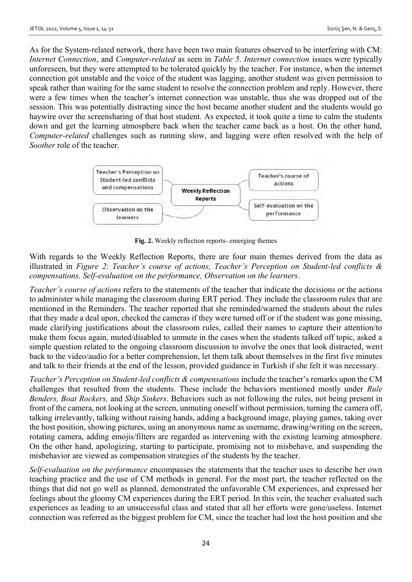As for the System-related network, there have been two main features observed to be interfering with CM: *Internet Connection*, and *Computer-related* as seen in *Table 5*. *Internet connection* issues were typically unforeseen, but they were attempted to be tolerated quickly by the teacher. For instance, when the internet connection got unstable and the voice of the student was lagging, another student was given permission to speak rather than waiting for the same student to resolve the connection problem and reply. However, there were a few times when the teacher's internet connection was unstable, thus she was dropped out of the session. This was potentially distracting since the host became another student and the students would go haywire over the screensharing of that host student. As expected, it took quite a time to calm the students down and get the learning atmosphere back when the teacher came back as a host. On the other hand, *Computer-related* challenges such as running slow, and lagging were often resolved with the help of *Soother* role of the teacher.



**Fig. 2.** Weekly reflection reports- emerging themes

With regards to the Weekly Reflection Reports, there are four main themes derived from the data as illustrated in *Figure 2*: *Teacher's course of actions, Teacher's Perception on Student-led conflicts & compensations, Self-evaluation on the performance, Observation on the learners*.

*Teacher's course of actions* refers to the statements of the teacher that indicate the decisions or the actions to administer while managing the classroom during ERT period. They include the classroom rules that are mentioned in the Reminders. The teacher reported that she reminded/warned the students about the rules that they made a deal upon, checked the cameras if they were turned off or if the student was gone missing, made clarifying justifications about the classroom rules, called their names to capture their attention/to make them focus again, muted/disabled to unmute in the cases when the students talked off topic, asked a simple question related to the ongoing classroom discussion to involve the ones that look distracted, went back to the video/audio for a better comprehension, let them talk about themselves in the first five minutes and talk to their friends at the end of the lesson, provided guidance in Turkish if she felt it was necessary.

*Teacher's Perception on Student-led conflicts & compensations* include the teacher's remarks upon the CM challenges that resulted from the students. These include the behaviors mentioned mostly under *Rule Benders, Boat Rockers,* and *Ship Sinkers*. Behaviors such as not following the rules, not being present in front of the camera, not looking at the screen, unmuting oneself without permission, turning the camera off, talking irrelevantly, talking without raising hands, adding a background image, playing games, taking over the host position, showing pictures, using an anonymous name as username, drawing/writing on the screen, rotating camera, adding emojis/filters are regarded as intervening with the existing learning atmosphere. On the other hand, apologizing, starting to participate, promising not to misbehave, and suspending the misbehavior are viewed as compensation strategies of the students by the teacher.

*Self-evaluation on the performance* encompasses the statements that the teacher uses to describe her own teaching practice and the use of CM methods in general. For the most part, the teacher reflected on the things that did not go well as planned, demonstrated the unfavorable CM experiences, and expressed her feelings about the gloomy CM experiences during the ERT period. In this vein, the teacher evaluated such experiences as leading to an unsuccessful class and stated that all her efforts were gone/useless. Internet connection was referred as the biggest problem for CM, since the teacher had lost the host position and she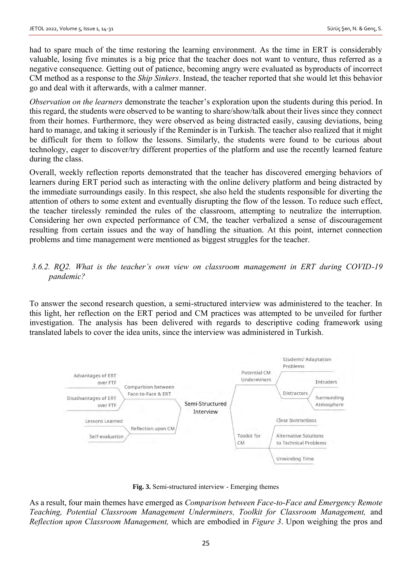had to spare much of the time restoring the learning environment. As the time in ERT is considerably valuable, losing five minutes is a big price that the teacher does not want to venture, thus referred as a negative consequence. Getting out of patience, becoming angry were evaluated as byproducts of incorrect CM method as a response to the *Ship Sinkers*. Instead, the teacher reported that she would let this behavior go and deal with it afterwards, with a calmer manner.

*Observation on the learners* demonstrate the teacher's exploration upon the students during this period. In this regard, the students were observed to be wanting to share/show/talk about their lives since they connect from their homes. Furthermore, they were observed as being distracted easily, causing deviations, being hard to manage, and taking it seriously if the Reminder is in Turkish. The teacher also realized that it might be difficult for them to follow the lessons. Similarly, the students were found to be curious about technology, eager to discover/try different properties of the platform and use the recently learned feature during the class.

Overall, weekly reflection reports demonstrated that the teacher has discovered emerging behaviors of learners during ERT period such as interacting with the online delivery platform and being distracted by the immediate surroundings easily. In this respect, she also held the students responsible for diverting the attention of others to some extent and eventually disrupting the flow of the lesson. To reduce such effect, the teacher tirelessly reminded the rules of the classroom, attempting to neutralize the interruption. Considering her own expected performance of CM, the teacher verbalized a sense of discouragement resulting from certain issues and the way of handling the situation. At this point, internet connection problems and time management were mentioned as biggest struggles for the teacher.

# *3.6.2. RQ2. What is the teacher's own view on classroom management in ERT during COVID-19 pandemic?*

To answer the second research question, a semi-structured interview was administered to the teacher. In this light, her reflection on the ERT period and CM practices was attempted to be unveiled for further investigation. The analysis has been delivered with regards to descriptive coding framework using translated labels to cover the idea units, since the interview was administered in Turkish.



**Fig. 3.** Semi-structured interview - Emerging themes

As a result, four main themes have emerged as *Comparison between Face-to-Face and Emergency Remote Teaching, Potential Classroom Management Underminers, Toolkit for Classroom Management,* and *Reflection upon Classroom Management,* which are embodied in *Figure 3*. Upon weighing the pros and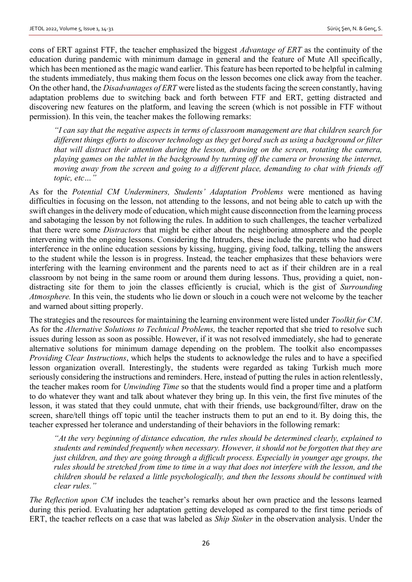cons of ERT against FTF, the teacher emphasized the biggest *Advantage of ERT* as the continuity of the education during pandemic with minimum damage in general and the feature of Mute All specifically, which has been mentioned as the magic wand earlier. This feature has been reported to be helpful in calming the students immediately, thus making them focus on the lesson becomes one click away from the teacher. On the other hand, the *Disadvantages of ERT* were listed as the students facing the screen constantly, having adaptation problems due to switching back and forth between FTF and ERT, getting distracted and discovering new features on the platform, and leaving the screen (which is not possible in FTF without permission). In this vein, the teacher makes the following remarks:

*"I can say that the negative aspects in terms of classroom management are that children search for different things efforts to discover technology as they get bored such as using a background or filter that will distract their attention during the lesson, drawing on the screen, rotating the camera, playing games on the tablet in the background by turning off the camera or browsing the internet, moving away from the screen and going to a different place, demanding to chat with friends off topic, etc…"*

As for the *Potential CM Underminers, Students' Adaptation Problems* were mentioned as having difficulties in focusing on the lesson, not attending to the lessons, and not being able to catch up with the swift changes in the delivery mode of education, which might cause disconnection from the learning process and sabotaging the lesson by not following the rules. In addition to such challenges, the teacher verbalized that there were some *Distractors* that might be either about the neighboring atmosphere and the people intervening with the ongoing lessons. Considering the Intruders, these include the parents who had direct interference in the online education sessions by kissing, hugging, giving food, talking, telling the answers to the student while the lesson is in progress. Instead, the teacher emphasizes that these behaviors were interfering with the learning environment and the parents need to act as if their children are in a real classroom by not being in the same room or around them during lessons. Thus, providing a quiet, nondistracting site for them to join the classes efficiently is crucial, which is the gist of *Surrounding Atmosphere.* In this vein, the students who lie down or slouch in a couch were not welcome by the teacher and warned about sitting properly.

The strategies and the resources for maintaining the learning environment were listed under *Toolkit for CM*. As for the *Alternative Solutions to Technical Problems,* the teacher reported that she tried to resolve such issues during lesson as soon as possible. However, if it was not resolved immediately, she had to generate alternative solutions for minimum damage depending on the problem. The toolkit also encompasses *Providing Clear Instructions*, which helps the students to acknowledge the rules and to have a specified lesson organization overall. Interestingly, the students were regarded as taking Turkish much more seriously considering the instructions and reminders. Here, instead of putting the rules in action relentlessly, the teacher makes room for *Unwinding Time* so that the students would find a proper time and a platform to do whatever they want and talk about whatever they bring up. In this vein, the first five minutes of the lesson, it was stated that they could unmute, chat with their friends, use background/filter, draw on the screen, share/tell things off topic until the teacher instructs them to put an end to it. By doing this, the teacher expressed her tolerance and understanding of their behaviors in the following remark:

*"At the very beginning of distance education, the rules should be determined clearly, explained to students and reminded frequently when necessary. However, it should not be forgotten that they are just children, and they are going through a difficult process. Especially in younger age groups, the rules should be stretched from time to time in a way that does not interfere with the lesson, and the children should be relaxed a little psychologically, and then the lessons should be continued with clear rules."*

*The Reflection upon CM* includes the teacher's remarks about her own practice and the lessons learned during this period. Evaluating her adaptation getting developed as compared to the first time periods of ERT, the teacher reflects on a case that was labeled as *Ship Sinker* in the observation analysis. Under the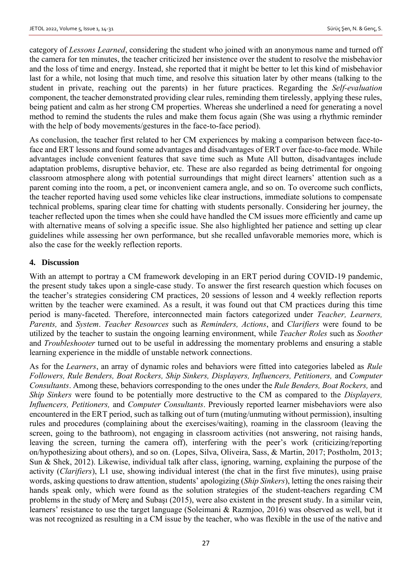category of *Lessons Learned*, considering the student who joined with an anonymous name and turned off the camera for ten minutes, the teacher criticized her insistence over the student to resolve the misbehavior and the loss of time and energy. Instead, she reported that it might be better to let this kind of misbehavior last for a while, not losing that much time, and resolve this situation later by other means (talking to the student in private, reaching out the parents) in her future practices. Regarding the *Self-evaluation* component, the teacher demonstrated providing clear rules, reminding them tirelessly, applying these rules, being patient and calm as her strong CM properties. Whereas she underlined a need for generating a novel method to remind the students the rules and make them focus again (She was using a rhythmic reminder with the help of body movements/gestures in the face-to-face period).

As conclusion, the teacher first related to her CM experiences by making a comparison between face-toface and ERT lessons and found some advantages and disadvantages of ERT over face-to-face mode. While advantages include convenient features that save time such as Mute All button, disadvantages include adaptation problems, disruptive behavior, etc. These are also regarded as being detrimental for ongoing classroom atmosphere along with potential surroundings that might direct learners' attention such as a parent coming into the room, a pet, or inconvenient camera angle, and so on. To overcome such conflicts, the teacher reported having used some vehicles like clear instructions, immediate solutions to compensate technical problems, sparing clear time for chatting with students personally. Considering her journey, the teacher reflected upon the times when she could have handled the CM issues more efficiently and came up with alternative means of solving a specific issue. She also highlighted her patience and setting up clear guidelines while assessing her own performance, but she recalled unfavorable memories more, which is also the case for the weekly reflection reports.

## **4. Discussion**

With an attempt to portray a CM framework developing in an ERT period during COVID-19 pandemic, the present study takes upon a single-case study. To answer the first research question which focuses on the teacher's strategies considering CM practices, 20 sessions of lesson and 4 weekly reflection reports written by the teacher were examined. As a result, it was found out that CM practices during this time period is many-faceted. Therefore, interconnected main factors categorized under *Teacher, Learners, Parents,* and *System*. *Teacher Resources* such as *Reminders, Actions*, and *Clarifiers* were found to be utilized by the teacher to sustain the ongoing learning environment, while *Teacher Roles* such as *Soother* and *Troubleshooter* turned out to be useful in addressing the momentary problems and ensuring a stable learning experience in the middle of unstable network connections.

As for the *Learners*, an array of dynamic roles and behaviors were fitted into categories labeled as *Rule Followers, Rule Benders, Boat Rockers, Ship Sinkers, Displayers, Influencers, Petitioners,* and *Computer Consultants*. Among these, behaviors corresponding to the ones under the *Rule Benders, Boat Rockers,* and *Ship Sinkers* were found to be potentially more destructive to the CM as compared to the *Displayers, Influencers, Petitioners,* and *Computer Consultants*. Previously reported learner misbehaviors were also encountered in the ERT period, such as talking out of turn (muting/unmuting without permission), insulting rules and procedures (complaining about the exercises/waiting), roaming in the classroom (leaving the screen, going to the bathroom), not engaging in classroom activities (not answering, not raising hands, leaving the screen, turning the camera off), interfering with the peer's work (criticizing/reporting on/hypothesizing about others), and so on. (Lopes, Silva, Oliveira, Sass, & Martin, 2017; Postholm, 2013; Sun & Shek, 2012). Likewise, individual talk after class, ignoring, warning, explaining the purpose of the activity (*Clarifiers*), L1 use, showing individual interest (the chat in the first five minutes), using praise words, asking questions to draw attention, students' apologizing (*Ship Sinkers*), letting the ones raising their hands speak only, which were found as the solution strategies of the student-teachers regarding CM problems in the study of Merç and Subaşı (2015), were also existent in the present study. In a similar vein, learners' resistance to use the target language (Soleimani & Razmjoo, 2016) was observed as well, but it was not recognized as resulting in a CM issue by the teacher, who was flexible in the use of the native and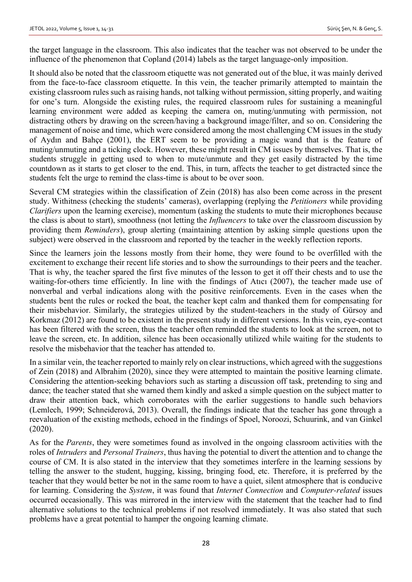the target language in the classroom. This also indicates that the teacher was not observed to be under the influence of the phenomenon that Copland (2014) labels as the target language-only imposition.

It should also be noted that the classroom etiquette was not generated out of the blue, it was mainly derived from the face-to-face classroom etiquette. In this vein, the teacher primarily attempted to maintain the existing classroom rules such as raising hands, not talking without permission, sitting properly, and waiting for one's turn. Alongside the existing rules, the required classroom rules for sustaining a meaningful learning environment were added as keeping the camera on, muting/unmuting with permission, not distracting others by drawing on the screen/having a background image/filter, and so on. Considering the management of noise and time, which were considered among the most challenging CM issues in the study of Aydın and Bahçe (2001), the ERT seem to be providing a magic wand that is the feature of muting/unmuting and a ticking clock. However, these might result in CM issues by themselves. That is, the students struggle in getting used to when to mute/unmute and they get easily distracted by the time countdown as it starts to get closer to the end. This, in turn, affects the teacher to get distracted since the students felt the urge to remind the class-time is about to be over soon.

Several CM strategies within the classification of Zein (2018) has also been come across in the present study. Withitness (checking the students' cameras), overlapping (replying the *Petitioners* while providing *Clarifiers* upon the learning exercise), momentum (asking the students to mute their microphones because the class is about to start), smoothness (not letting the *Influencers* to take over the classroom discussion by providing them *Reminders*), group alerting (maintaining attention by asking simple questions upon the subject) were observed in the classroom and reported by the teacher in the weekly reflection reports.

Since the learners join the lessons mostly from their home, they were found to be overfilled with the excitement to exchange their recent life stories and to show the surroundings to their peers and the teacher. That is why, the teacher spared the first five minutes of the lesson to get it off their chests and to use the waiting-for-others time efficiently. In line with the findings of Atıcı (2007), the teacher made use of nonverbal and verbal indications along with the positive reinforcements. Even in the cases when the students bent the rules or rocked the boat, the teacher kept calm and thanked them for compensating for their misbehavior. Similarly, the strategies utilized by the student-teachers in the study of Gürsoy and Korkmaz (2012) are found to be existent in the present study in different versions. In this vein, eye-contact has been filtered with the screen, thus the teacher often reminded the students to look at the screen, not to leave the screen, etc. In addition, silence has been occasionally utilized while waiting for the students to resolve the misbehavior that the teacher has attended to.

In a similar vein, the teacher reported to mainly rely on clear instructions, which agreed with the suggestions of Zein (2018) and Albrahim (2020), since they were attempted to maintain the positive learning climate. Considering the attention-seeking behaviors such as starting a discussion off task, pretending to sing and dance; the teacher stated that she warned them kindly and asked a simple question on the subject matter to draw their attention back, which corroborates with the earlier suggestions to handle such behaviors (Lemlech, 1999; Schneiderová, 2013). Overall, the findings indicate that the teacher has gone through a reevaluation of the existing methods, echoed in the findings of Spoel, Noroozi, Schuurink, and van Ginkel (2020).

As for the *Parents*, they were sometimes found as involved in the ongoing classroom activities with the roles of *Intruders* and *Personal Trainers*, thus having the potential to divert the attention and to change the course of CM. It is also stated in the interview that they sometimes interfere in the learning sessions by telling the answer to the student, hugging, kissing, bringing food, etc. Therefore, it is preferred by the teacher that they would better be not in the same room to have a quiet, silent atmosphere that is conducive for learning. Considering the *System*, it was found that *Internet Connection* and *Computer-related* issues occurred occasionally. This was mirrored in the interview with the statement that the teacher had to find alternative solutions to the technical problems if not resolved immediately. It was also stated that such problems have a great potential to hamper the ongoing learning climate.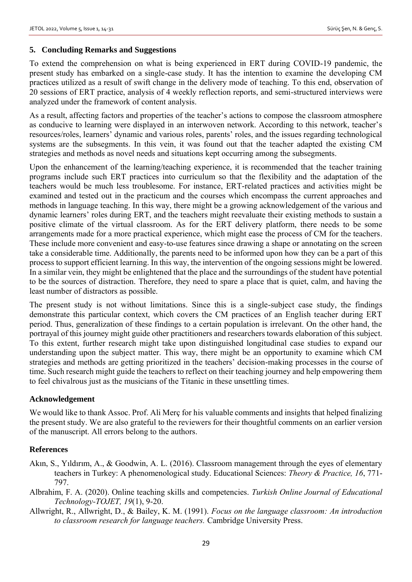# **5. Concluding Remarks and Suggestions**

To extend the comprehension on what is being experienced in ERT during COVID-19 pandemic, the present study has embarked on a single-case study. It has the intention to examine the developing CM practices utilized as a result of swift change in the delivery mode of teaching. To this end, observation of 20 sessions of ERT practice, analysis of 4 weekly reflection reports, and semi-structured interviews were analyzed under the framework of content analysis.

As a result, affecting factors and properties of the teacher's actions to compose the classroom atmosphere as conducive to learning were displayed in an interwoven network. According to this network, teacher's resources/roles, learners' dynamic and various roles, parents' roles, and the issues regarding technological systems are the subsegments. In this vein, it was found out that the teacher adapted the existing CM strategies and methods as novel needs and situations kept occurring among the subsegments.

Upon the enhancement of the learning/teaching experience, it is recommended that the teacher training programs include such ERT practices into curriculum so that the flexibility and the adaptation of the teachers would be much less troublesome. For instance, ERT-related practices and activities might be examined and tested out in the practicum and the courses which encompass the current approaches and methods in language teaching. In this way, there might be a growing acknowledgement of the various and dynamic learners' roles during ERT, and the teachers might reevaluate their existing methods to sustain a positive climate of the virtual classroom. As for the ERT delivery platform, there needs to be some arrangements made for a more practical experience, which might ease the process of CM for the teachers. These include more convenient and easy-to-use features since drawing a shape or annotating on the screen take a considerable time. Additionally, the parents need to be informed upon how they can be a part of this process to support efficient learning. In this way, the intervention of the ongoing sessions might be lowered. In a similar vein, they might be enlightened that the place and the surroundings of the student have potential to be the sources of distraction. Therefore, they need to spare a place that is quiet, calm, and having the least number of distractors as possible.

The present study is not without limitations. Since this is a single-subject case study, the findings demonstrate this particular context, which covers the CM practices of an English teacher during ERT period. Thus, generalization of these findings to a certain population is irrelevant. On the other hand, the portrayal of this journey might guide other practitioners and researchers towards elaboration of this subject. To this extent, further research might take upon distinguished longitudinal case studies to expand our understanding upon the subject matter. This way, there might be an opportunity to examine which CM strategies and methods are getting prioritized in the teachers' decision-making processes in the course of time. Such research might guide the teachers to reflect on their teaching journey and help empowering them to feel chivalrous just as the musicians of the Titanic in these unsettling times.

## **Acknowledgement**

We would like to thank Assoc. Prof. Ali Merç for his valuable comments and insights that helped finalizing the present study. We are also grateful to the reviewers for their thoughtful comments on an earlier version of the manuscript. All errors belong to the authors.

#### **References**

- Akın, S., Yıldırım, A., & Goodwin, A. L. (2016). Classroom management through the eyes of elementary teachers in Turkey: A phenomenological study. Educational Sciences: *Theory & Practice, 16*, 771- 797.
- Albrahim, F. A. (2020). Online teaching skills and competencies. *Turkish Online Journal of Educational Technology-TOJET, 19*(1), 9-20.
- Allwright, R., Allwright, D., & Bailey, K. M. (1991). *Focus on the language classroom: An introduction to classroom research for language teachers.* Cambridge University Press.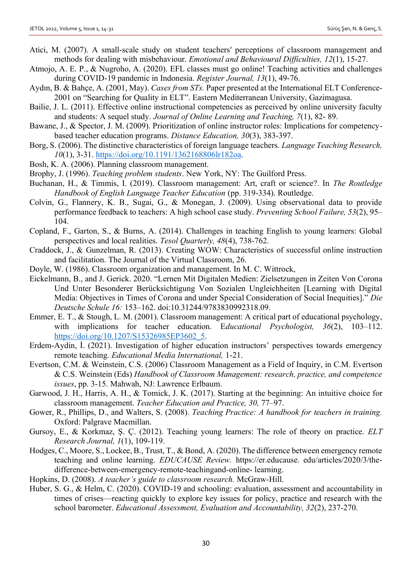- Atici, M. (2007). A small-scale study on student teachers' perceptions of classroom management and methods for dealing with misbehaviour. *Emotional and Behavioural Difficulties, 12*(1), 15-27.
- Atmojo, A. E. P., & Nugroho, A. (2020). EFL classes must go online! Teaching activities and challenges during COVID-19 pandemic in Indonesia. *Register Journal, 13*(1), 49-76.
- Aydın, B. & Bahçe, A. (2001, May). *Cases from STs.* Paper presented at the International ELT Conference-2001 on "Searching for Quality in ELT". Eastern Mediterranean University, Gazimagusa.
- Bailie, J. L. (2011). Effective online instructional competencies as perceived by online university faculty and students: A sequel study. *Journal of Online Learning and Teaching, 7*(1), 82- 89.
- Bawane, J., & Spector, J. M. (2009). Prioritization of online instructor roles: Implications for competencybased teacher education programs. *Distance Education, 30*(3), 383-397.
- Borg, S. (2006). The distinctive characteristics of foreign language teachers. *Language Teaching Research, 10*(1), 3-31. [https://doi.org/10.1191/1362168806lr182oa.](https://doi.org/10.1191/1362168806lr182oa)
- Bosh, K. A. (2006). Planning classroom management.
- Brophy, J. (1996). *Teaching problem students*. New York, NY: The Guilford Press.
- Buchanan, H., & Timmis, I. (2019). Classroom management: Art, craft or science?. In *The Routledge Handbook of English Language Teacher Education* (pp. 319-334). Routledge.
- Colvin, G., Flannery, K. B., Sugai, G., & Monegan, J. (2009). Using observational data to provide performance feedback to teachers: A high school case study. *Preventing School Failure, 53*(2), 95– 104.
- Copland, F., Garton, S., & Burns, A. (2014). Challenges in teaching English to young learners: Global perspectives and local realities. *Tesol Quarterly, 48*(4), 738-762.
- Craddock, J., & Gunzelman, R. (2013). Creating WOW: Characteristics of successful online instruction and facilitation. The Journal of the Virtual Classroom, 26.
- Doyle, W. (1986). Classroom organization and management. In M. C. Wittrock,
- Eickelmann, B., and J. Gerick. 2020. "Lernen Mit Digitalen Medien: Zielsetzungen in Zeiten Von Corona Und Unter Besonderer Berücksichtigung Von Sozialen Ungleichheiten [Learning with Digital Media: Objectives in Times of Corona and under Special Consideration of Social Inequities]." *Die Deutsche Schule 16:* 153–162. doi:10.31244/9783830992318.09.
- Emmer, E. T., & Stough, L. M. (2001). Classroom management: A critical part of educational psychology, with implications for teacher education. Educational Psychologist, 36(2), 103-112. [https://doi.org/10.1207/S15326985EP3602\\_5.](https://doi.org/10.1207/S15326985EP3602_5)
- Erdem-Aydin, İ. (2021). Investigation of higher education instructors' perspectives towards emergency remote teaching. *Educational Media International,* 1-21.
- Evertson, C.M. & Weinstein, C.S. (2006) Classroom Management as a Field of Inquiry, in C.M. Evertson & C.S. Weinstein (Eds) *Handbook of Classroom Management: research, practice, and competence issues*, pp. 3-15. Mahwah, NJ: Lawrence Erlbaum.
- Garwood, J. H., Harris, A. H., & Tomick, J. K. (2017). Starting at the beginning: An intuitive choice for classroom management. *Teacher Education and Practice, 30,* 77–97.
- Gower, R., Phillips, D., and Walters, S. (2008). *Teaching Practice: A handbook for teachers in training.* Oxford: Palgrave Macmillan.
- Gursoy, E., & Korkmaz, Ş. Ç. (2012). Teaching young learners: The role of theory on practice. *ELT Research Journal, 1*(1), 109-119.
- Hodges, C., Moore, S., Lockee, B., Trust, T., & Bond, A. (2020). The difference between emergency remote teaching and online learning. *EDUCAUSE Review.* https://er.educause. edu/articles/2020/3/thedifference-between-emergency-remote-teachingand-online- learning.
- Hopkins, D. (2008). *A teacher's guide to classroom research.* McGraw-Hill.
- Huber, S. G., & Helm, C. (2020). COVID-19 and schooling: evaluation, assessment and accountability in times of crises—reacting quickly to explore key issues for policy, practice and research with the school barometer. *Educational Assessment, Evaluation and Accountability, 32*(2), 237-270.